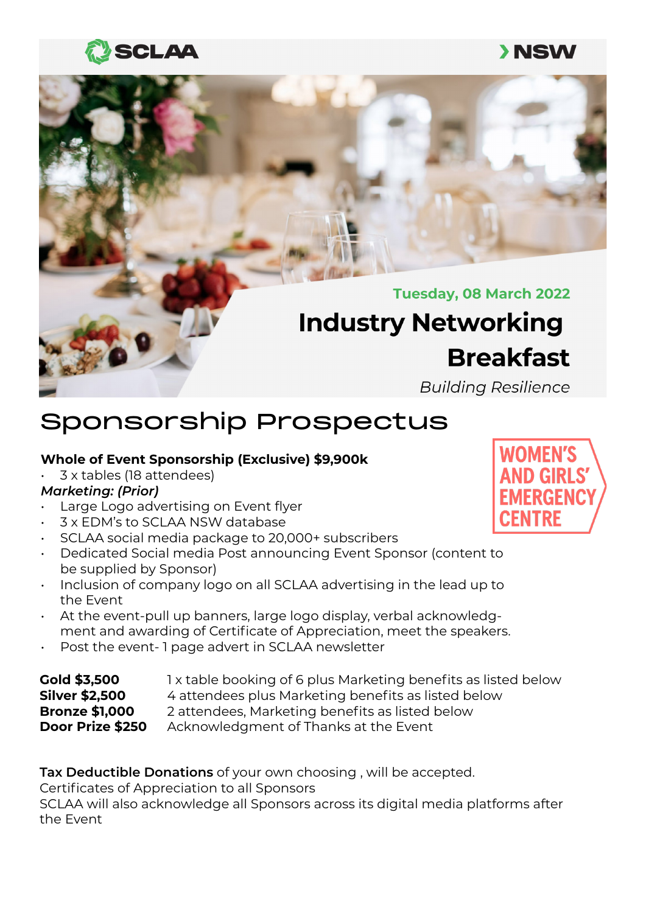## **SCLAA**

### **>NSW**



# Sponsorship Prospectus

### **Whole of Event Sponsorship (Exclusive) \$9,900k**

• 3 x tables (18 attendees)

### *Marketing: (Prior)*

- Large Logo advertising on Event flyer
- 3 x EDM's to SCLAA NSW database
- SCLAA social media package to 20,000+ subscribers
- Dedicated Social media Post announcing Event Sponsor (content to be supplied by Sponsor)
- Inclusion of company logo on all SCLAA advertising in the lead up to the Event
- At the event-pull up banners, large logo display, verbal acknowledgment and awarding of Certificate of Appreciation, meet the speakers.
- Post the event- 1 page advert in SCLAA newsletter

| <b>Gold \$3,500</b>   | 1x table booking of 6 plus Marketing benefits as listed below |
|-----------------------|---------------------------------------------------------------|
| <b>Silver \$2,500</b> | 4 attendees plus Marketing benefits as listed below           |
| <b>Bronze \$1,000</b> | 2 attendees, Marketing benefits as listed below               |
| Door Prize \$250      | Acknowledgment of Thanks at the Event                         |

**Tax Deductible Donations** of your own choosing , will be accepted.

Certificates of Appreciation to all Sponsors

SCLAA will also acknowledge all Sponsors across its digital media platforms after the Event